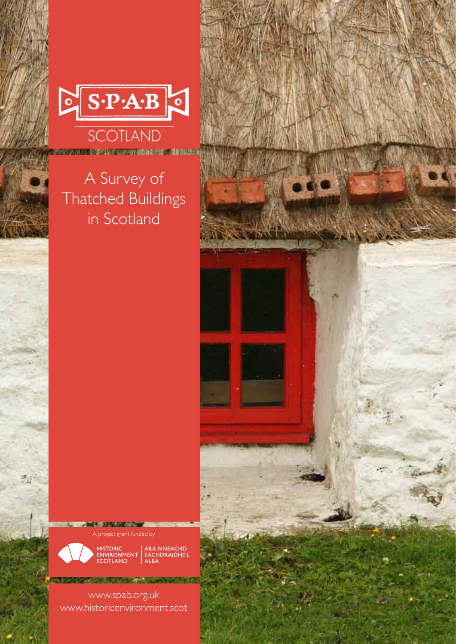

## A Survey of Thatched Buildings in Scotland

**CALCE OF ASSISTANTIAL COMPANY** 

**DOME AVE** A project grant funded by



HISTORIC<br>ENVIRONMENT EACHDRAIDHEIL<br>SCOTLAND ALBA

www.spab.org.uk www.historicenvironment.scot

**ZIPLACHAM MARCHING** 

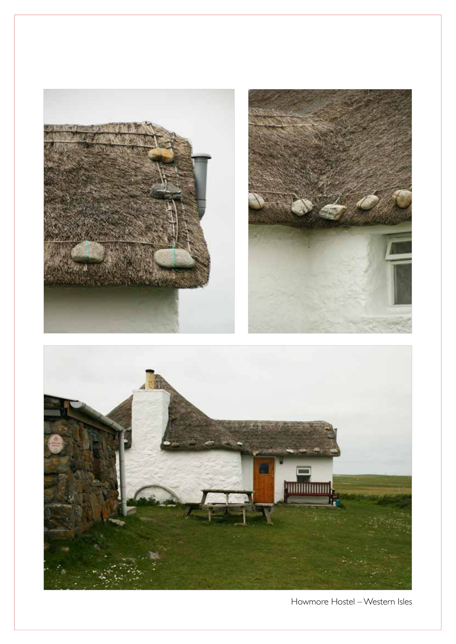

Howmore Hostel – Western Isles